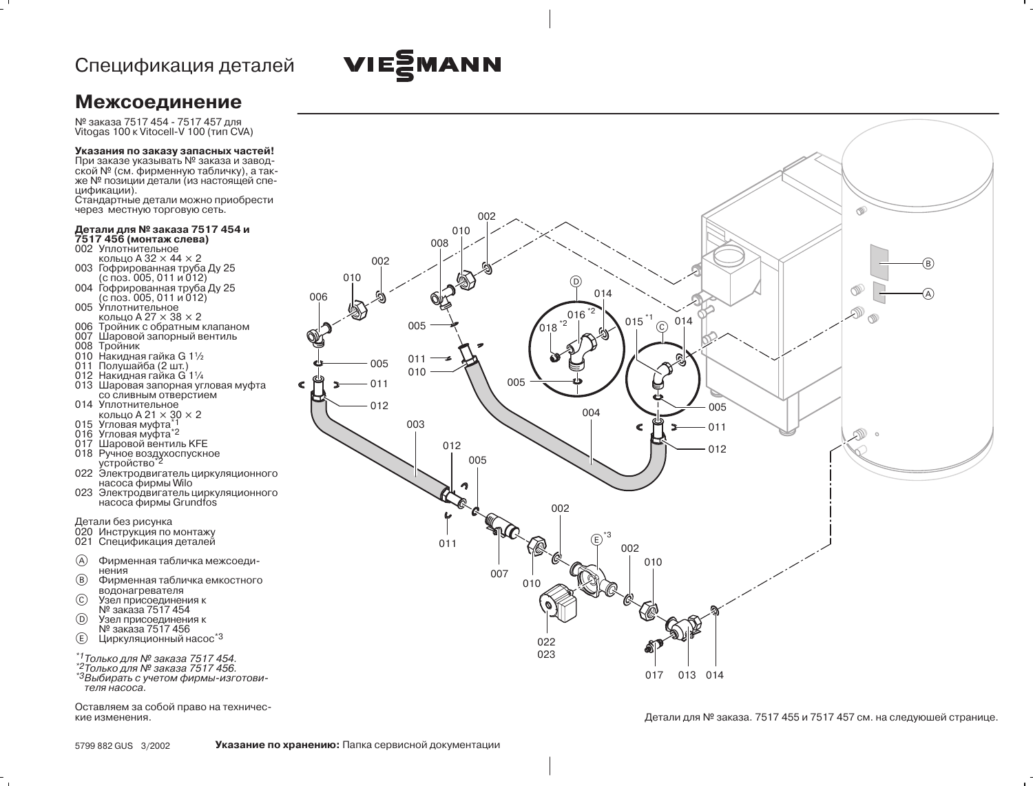# VIEZMANN

### **Межсоединение**

№ заказа 7517 454 - 7517 457 для<br>Vitogas 100 к Vitocell-V 100 (тип CVA)

#### Указания по заказу запасных частей!

При заказе указывать № заказа и заводской № (см. фирменную табличку), а также № позиции детали (из настоящей спецификации).

Стандартные детали можно приобрести через местную торговую сеть.

## Детали для № заказа 7517 454 и<br>7517 456 (монтаж слева)

002 Уплотнительное

- кольцо А  $32 \times 44 \times 2$
- 003 Гофрированная труба Ду 25 (с поз. 005, 011 и 012)
- 004 Гофрированная труба Ду 25<br>(с поз. 005, 011 и 012) 005 Уплотнительное
- кольцо А 27  $\times$  38  $\times$  2
- 006 Тройник с обратным клапаном 007 Шаровой запорный вентиль
- $008$  Тройник
- 010 Накидная гайка G 11/2
- 011 Полушайба (2 шт.)
- 012 Накидная гайка G 11/4
- 013 Шаровая запорная угловая муфта со сливным отверстием
- 014 Уплотнительное кольцо А 21  $\times$  30  $\times$  2
- 015 Угловая муфта\*1
- 
- 017 Шаровой вентиль КГЕ
- 018 Ручное воздухоспускное устройство<sup>\*2</sup>
- 022 Электродвигатель циркуляционного насоса фирмы Wilo
- 023 Электродвигатель циркуляционного<br>насоса фирмы Grundfos

- Детали без рисунка<br>020 Инструкция по монтажу
- 021 Спецификация деталей
- $\circledA$ Фирменная табличка межсоединения
- $(B)$ Фирменная табличка емкостного водонагревателя
- $\odot$ Узел присоединения к
- № заказа 7517 454  $(D)$ Узел присоединения к
- № заказа 7517 456
- $\circled{E}$ Циркуляционный насос<sup>\*3</sup>
- \*1 Только для № заказа 7517454.
- \*2 Только для № заказа 7517 456.
- \*3Выбирать с учетом фирмы-изготовителя насоса.

Оставляем за собой право на технические изменения.



Детали для № заказа. 7517 455 и 7517 457 см. на следуюшей странице.